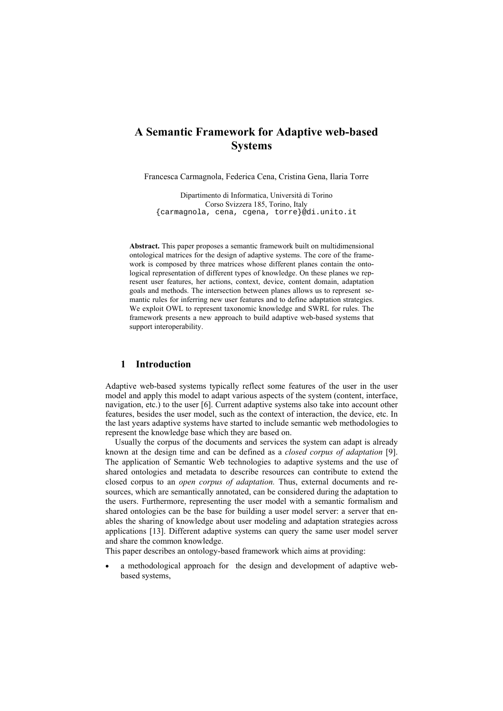# **A Semantic Framework for Adaptive web-based Systems**

Francesca Carmagnola, Federica Cena, Cristina Gena, Ilaria Torre

Dipartimento di Informatica, Università di Torino Corso Svizzera 185, Torino, Italy {carmagnola, cena, cgena, torre}@di.unito.it

**Abstract.** This paper proposes a semantic framework built on multidimensional ontological matrices for the design of adaptive systems. The core of the framework is composed by three matrices whose different planes contain the ontological representation of different types of knowledge. On these planes we represent user features, her actions, context, device, content domain, adaptation goals and methods. The intersection between planes allows us to represent semantic rules for inferring new user features and to define adaptation strategies. We exploit OWL to represent taxonomic knowledge and SWRL for rules. The framework presents a new approach to build adaptive web-based systems that support interoperability.

## **1 Introduction**

Adaptive web-based systems typically reflect some features of the user in the user model and apply this model to adapt various aspects of the system (content, interface, navigation, etc.) to the user [6]. Current adaptive systems also take into account other features, besides the user model, such as the context of interaction, the device, etc. In the last years adaptive systems have started to include semantic web methodologies to represent the knowledge base which they are based on.

Usually the corpus of the documents and services the system can adapt is already known at the design time and can be defined as a *closed corpus of adaptation* [9]. The application of Semantic Web technologies to adaptive systems and the use of shared ontologies and metadata to describe resources can contribute to extend the closed corpus to an *open corpus of adaptation.* Thus, external documents and resources, which are semantically annotated, can be considered during the adaptation to the users. Furthermore, representing the user model with a semantic formalism and shared ontologies can be the base for building a user model server: a server that enables the sharing of knowledge about user modeling and adaptation strategies across applications [13]. Different adaptive systems can query the same user model server and share the common knowledge.

This paper describes an ontology-based framework which aims at providing:

• a methodological approach for the design and development of adaptive webbased systems,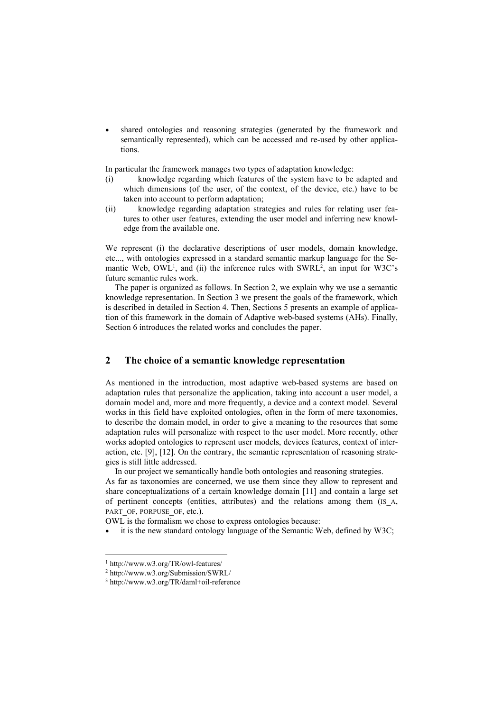• shared ontologies and reasoning strategies (generated by the framework and semantically represented), which can be accessed and re-used by other applications.

In particular the framework manages two types of adaptation knowledge:

- (i) knowledge regarding which features of the system have to be adapted and which dimensions (of the user, of the context, of the device, etc.) have to be taken into account to perform adaptation;
- (ii) knowledge regarding adaptation strategies and rules for relating user features to other user features, extending the user model and inferring new knowledge from the available one.

We represent (i) the declarative descriptions of user models, domain knowledge, etc..., with ontologies expressed in a standard semantic markup language for the Semantic Web, OWL<sup>1</sup>, and (ii) the inference rules with SWRL<sup>2</sup>, an input for W3C's future semantic rules work.

The paper is organized as follows. In Section 2, we explain why we use a semantic knowledge representation. In Section 3 we present the goals of the framework, which is described in detailed in Section 4. Then, Sections 5 presents an example of application of this framework in the domain of Adaptive web-based systems (AHs). Finally, Section 6 introduces the related works and concludes the paper.

# **2 The choice of a semantic knowledge representation**

As mentioned in the introduction, most adaptive web-based systems are based on adaptation rules that personalize the application, taking into account a user model, a domain model and, more and more frequently, a device and a context model. Several works in this field have exploited ontologies, often in the form of mere taxonomies, to describe the domain model, in order to give a meaning to the resources that some adaptation rules will personalize with respect to the user model. More recently, other works adopted ontologies to represent user models, devices features, context of interaction, etc. [9], [12]. On the contrary, the semantic representation of reasoning strategies is still little addressed.

In our project we semantically handle both ontologies and reasoning strategies.

As far as taxonomies are concerned, we use them since they allow to represent and share conceptualizations of a certain knowledge domain [11] and contain a large set of pertinent concepts (entities, attributes) and the relations among them (IS\_A, PART\_OF, PORPUSE\_OF, etc.).

OWL is the formalism we chose to express ontologies because:

• it is the new standard ontology language of the Semantic Web, defined by W3C;

<sup>1</sup> http://www.w3.org/TR/owl-features/

<sup>2</sup> http://www.w3.org/Submission/SWRL/

<sup>3</sup> http://www.w3.org/TR/daml+oil-reference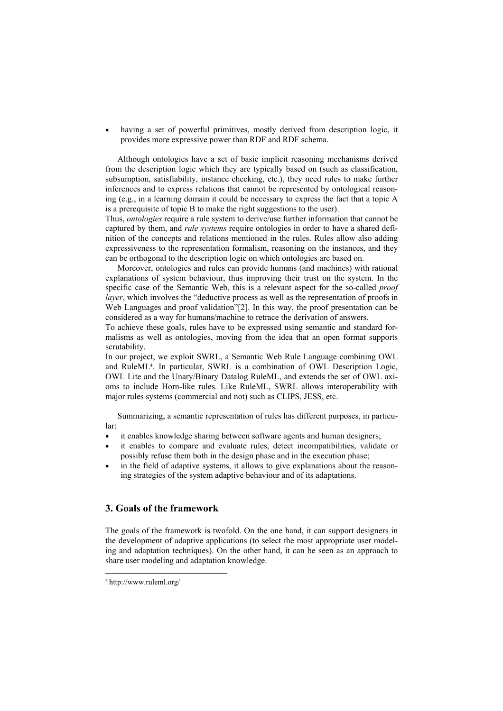having a set of powerful primitives, mostly derived from description logic, it provides more expressive power than RDF and RDF schema.

Although ontologies have a set of basic implicit reasoning mechanisms derived from the description logic which they are typically based on (such as classification, subsumption, satisfiability, instance checking, etc.), they need rules to make further inferences and to express relations that cannot be represented by ontological reasoning (e.g., in a learning domain it could be necessary to express the fact that a topic A is a prerequisite of topic B to make the right suggestions to the user).

Thus, *ontologies* require a rule system to derive/use further information that cannot be captured by them, and *rule systems* require ontologies in order to have a shared definition of the concepts and relations mentioned in the rules. Rules allow also adding expressiveness to the representation formalism, reasoning on the instances, and they can be orthogonal to the description logic on which ontologies are based on.

Moreover, ontologies and rules can provide humans (and machines) with rational explanations of system behaviour, thus improving their trust on the system. In the specific case of the Semantic Web, this is a relevant aspect for the so-called *proof layer*, which involves the "deductive process as well as the representation of proofs in Web Languages and proof validation"[2]. In this way, the proof presentation can be considered as a way for humans/machine to retrace the derivation of answers.

To achieve these goals, rules have to be expressed using semantic and standard formalisms as well as ontologies, moving from the idea that an open format supports scrutability.

In our project, we exploit SWRL, a Semantic Web Rule Language combining OWL and RuleML4. In particular, SWRL is a combination of OWL Description Logic, OWL Lite and the Unary/Binary Datalog RuleML, and extends the set of OWL axioms to include Horn-like rules. Like RuleML, SWRL allows interoperability with major rules systems (commercial and not) such as CLIPS, JESS, etc.

Summarizing, a semantic representation of rules has different purposes, in particular:

- it enables knowledge sharing between software agents and human designers;
- it enables to compare and evaluate rules, detect incompatibilities, validate or possibly refuse them both in the design phase and in the execution phase;
- in the field of adaptive systems, it allows to give explanations about the reasoning strategies of the system adaptive behaviour and of its adaptations.

# **3. Goals of the framework**

The goals of the framework is twofold. On the one hand, it can support designers in the development of adaptive applications (to select the most appropriate user modeling and adaptation techniques). On the other hand, it can be seen as an approach to share user modeling and adaptation knowledge.

<sup>4</sup> http://www.ruleml.org/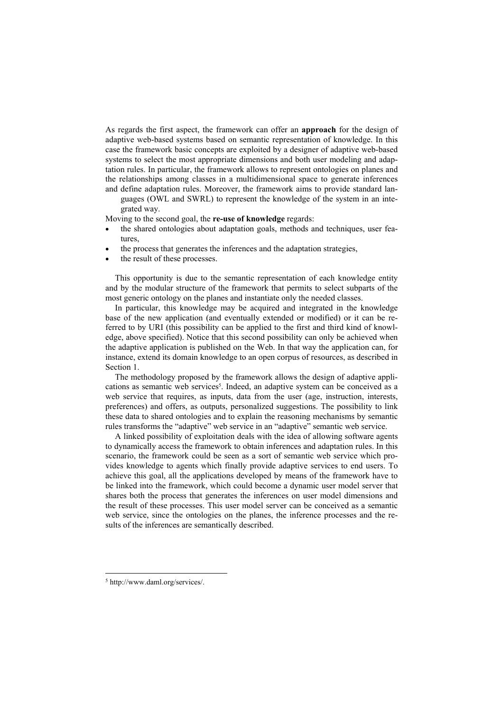As regards the first aspect, the framework can offer an **approach** for the design of adaptive web-based systems based on semantic representation of knowledge. In this case the framework basic concepts are exploited by a designer of adaptive web-based systems to select the most appropriate dimensions and both user modeling and adaptation rules. In particular, the framework allows to represent ontologies on planes and the relationships among classes in a multidimensional space to generate inferences and define adaptation rules. Moreover, the framework aims to provide standard lan-

guages (OWL and SWRL) to represent the knowledge of the system in an integrated way.

Moving to the second goal, the **re-use of knowledge** regards:

- the shared ontologies about adaptation goals, methods and techniques, user features,
- the process that generates the inferences and the adaptation strategies,
- the result of these processes.

This opportunity is due to the semantic representation of each knowledge entity and by the modular structure of the framework that permits to select subparts of the most generic ontology on the planes and instantiate only the needed classes.

In particular, this knowledge may be acquired and integrated in the knowledge base of the new application (and eventually extended or modified) or it can be referred to by URI (this possibility can be applied to the first and third kind of knowledge, above specified). Notice that this second possibility can only be achieved when the adaptive application is published on the Web. In that way the application can, for instance, extend its domain knowledge to an open corpus of resources, as described in Section 1.

The methodology proposed by the framework allows the design of adaptive applications as semantic web services<sup>5</sup>. Indeed, an adaptive system can be conceived as a web service that requires, as inputs, data from the user (age, instruction, interests, preferences) and offers, as outputs, personalized suggestions. The possibility to link these data to shared ontologies and to explain the reasoning mechanisms by semantic rules transforms the "adaptive" web service in an "adaptive" semantic web service.

A linked possibility of exploitation deals with the idea of allowing software agents to dynamically access the framework to obtain inferences and adaptation rules. In this scenario, the framework could be seen as a sort of semantic web service which provides knowledge to agents which finally provide adaptive services to end users. To achieve this goal, all the applications developed by means of the framework have to be linked into the framework, which could become a dynamic user model server that shares both the process that generates the inferences on user model dimensions and the result of these processes. This user model server can be conceived as a semantic web service, since the ontologies on the planes, the inference processes and the results of the inferences are semantically described.

<sup>5</sup> http://www.daml.org/services/.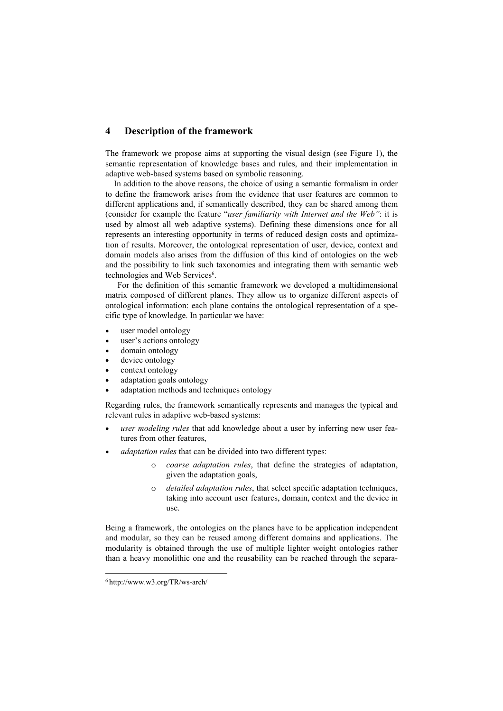### **4 Description of the framework**

The framework we propose aims at supporting the visual design (see Figure 1), the semantic representation of knowledge bases and rules, and their implementation in adaptive web-based systems based on symbolic reasoning.

 In addition to the above reasons, the choice of using a semantic formalism in order to define the framework arises from the evidence that user features are common to different applications and, if semantically described, they can be shared among them (consider for example the feature "*user familiarity with Internet and the Web"*: it is used by almost all web adaptive systems). Defining these dimensions once for all represents an interesting opportunity in terms of reduced design costs and optimization of results. Moreover, the ontological representation of user, device, context and domain models also arises from the diffusion of this kind of ontologies on the web and the possibility to link such taxonomies and integrating them with semantic web technologies and Web Services<sup>6</sup>.

For the definition of this semantic framework we developed a multidimensional matrix composed of different planes. They allow us to organize different aspects of ontological information: each plane contains the ontological representation of a specific type of knowledge. In particular we have:

- user model ontology
- user's actions ontology
- domain ontology
- device ontology
- context ontology
- adaptation goals ontology
- adaptation methods and techniques ontology

Regarding rules, the framework semantically represents and manages the typical and relevant rules in adaptive web-based systems:

- *user modeling rules* that add knowledge about a user by inferring new user features from other features,
- *adaptation rules* that can be divided into two different types:
	- o *coarse adaptation rules*, that define the strategies of adaptation, given the adaptation goals,
	- o *detailed adaptation rules*, that select specific adaptation techniques, taking into account user features, domain, context and the device in use.

Being a framework, the ontologies on the planes have to be application independent and modular, so they can be reused among different domains and applications. The modularity is obtained through the use of multiple lighter weight ontologies rather than a heavy monolithic one and the reusability can be reached through the separa-

<sup>6</sup> http://www.w3.org/TR/ws-arch/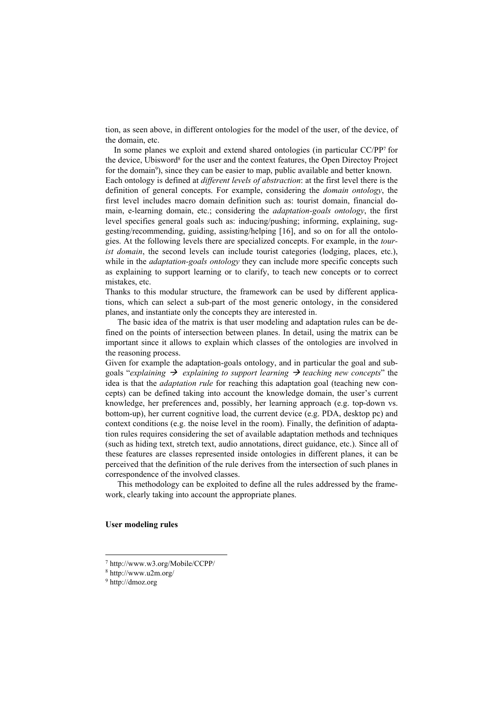tion, as seen above, in different ontologies for the model of the user, of the device, of the domain, etc.

 In some planes we exploit and extend shared ontologies (in particular CC/PP7 for the device, Ubisword<sup>8</sup> for the user and the context features, the Open Directoy Project for the domain<sup>9</sup>), since they can be easier to map, public available and better known. Each ontology is defined at *different levels of abstraction*: at the first level there is the definition of general concepts. For example, considering the *domain ontology*, the first level includes macro domain definition such as: tourist domain, financial domain, e-learning domain, etc.; considering the *adaptation-goals ontology*, the first level specifies general goals such as: inducing/pushing; informing, explaining, suggesting/recommending, guiding, assisting/helping [16], and so on for all the ontologies. At the following levels there are specialized concepts. For example, in the *tourist domain*, the second levels can include tourist categories (lodging, places, etc.), while in the *adaptation-goals ontology* they can include more specific concepts such as explaining to support learning or to clarify, to teach new concepts or to correct mistakes, etc.

Thanks to this modular structure, the framework can be used by different applications, which can select a sub-part of the most generic ontology, in the considered planes, and instantiate only the concepts they are interested in.

The basic idea of the matrix is that user modeling and adaptation rules can be defined on the points of intersection between planes. In detail, using the matrix can be important since it allows to explain which classes of the ontologies are involved in the reasoning process.

Given for example the adaptation-goals ontology, and in particular the goal and subgoals "*explaining*  $\rightarrow$  *explaining to support learning*  $\rightarrow$  teaching new concepts" the idea is that the *adaptation rule* for reaching this adaptation goal (teaching new concepts) can be defined taking into account the knowledge domain, the user's current knowledge, her preferences and, possibly, her learning approach (e.g. top-down vs. bottom-up), her current cognitive load, the current device (e.g. PDA, desktop pc) and context conditions (e.g. the noise level in the room). Finally, the definition of adaptation rules requires considering the set of available adaptation methods and techniques (such as hiding text, stretch text, audio annotations, direct guidance, etc.). Since all of these features are classes represented inside ontologies in different planes, it can be perceived that the definition of the rule derives from the intersection of such planes in correspondence of the involved classes.

This methodology can be exploited to define all the rules addressed by the framework, clearly taking into account the appropriate planes.

#### **User modeling rules**

<sup>7</sup> http://www.w3.org/Mobile/CCPP/

<sup>8</sup> http://www.u2m.org/

<sup>9</sup> http://dmoz.org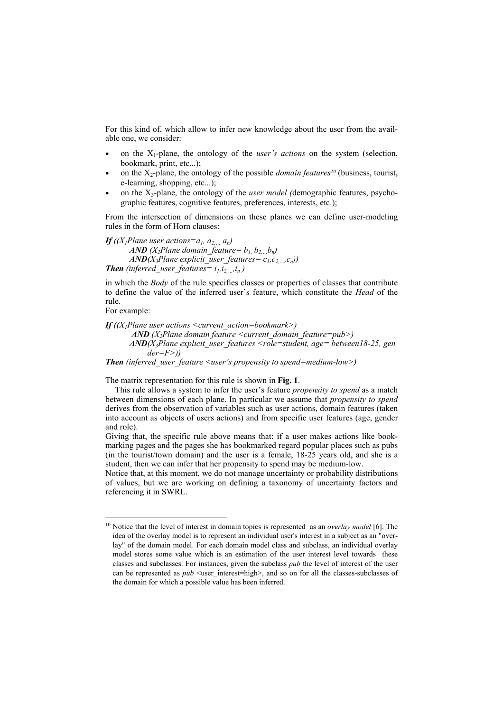For this kind of, which allow to infer new knowledge about the user from the available one, we consider:

- on the X1-plane, the ontology of the *user's actions* on the system (selection, bookmark, print, etc...);
- on the  $X_2$ -plane, the ontology of the possible *domain features<sup>10</sup>* (business, tourist, e-learning, shopping, etc...);
- on the X3-plane, the ontology of the *user model (*demographic features, psychographic features, cognitive features, preferences, interests, etc.);

From the intersection of dimensions on these planes we can define user-modeling rules in the form of Horn clauses:

*If* ((*X<sub>1</sub>Plane user actions=a<sub>1</sub>, a<sub>2, m</sub> a<sub>n</sub>) AND* ( $X_2$ Plane domain\_feature=  $b_1$ ,  $b_2$ ,  $b_n$ )  $AND(X_3$ *Plane explicit\_user\_features= c<sub>1</sub>,c<sub>2</sub>, .c<sub>n</sub>)) Then* (inferred user features=  $i_l$ , $i_{2,..,i_n}$ )

in which the *Body* of the rule specifies classes or properties of classes that contribute to define the value of the inferred user's feature, which constitute the *Head* of the rule.

For example:

l

*If ((X1Plane user actions <current\_action=bookmark>) AND* (*X*<sub>2</sub>*Plane domain feature <current\_domain\_feature=pub>) AND(X3Plane explicit\_user\_features <role=student, age= between18-25, gen der=F>))* 

*Then (inferred\_user\_feature <user's propensity to spend=medium-low>)* 

The matrix representation for this rule is shown in **Fig. 1**.

This rule allows a system to infer the user's feature *propensity to spend* as a match between dimensions of each plane. In particular we assume that *propensity to spend* derives from the observation of variables such as user actions, domain features (taken into account as objects of users actions) and from specific user features (age, gender and role).

Giving that, the specific rule above means that: if a user makes actions like bookmarking pages and the pages she has bookmarked regard popular places such as pubs (in the tourist/town domain) and the user is a female, 18-25 years old, and she is a student, then we can infer that her propensity to spend may be medium-low.

Notice that, at this moment, we do not manage uncertainty or probability distributions of values, but we are working on defining a taxonomy of uncertainty factors and referencing it in SWRL.

<sup>10</sup> Notice that the level of interest in domain topics is represented as an *overlay model* [6]. The idea of the overlay model is to represent an individual user's interest in a subject as an "overlay" of the domain model. For each domain model class and subclass, an individual overlay model stores some value which is an estimation of the user interest level towards these classes and subclasses. For instances, given the subclass *pub* the level of interest of the user can be represented as *pub* <user interest=high>, and so on for all the classes-subclasses of the domain for which a possible value has been inferred.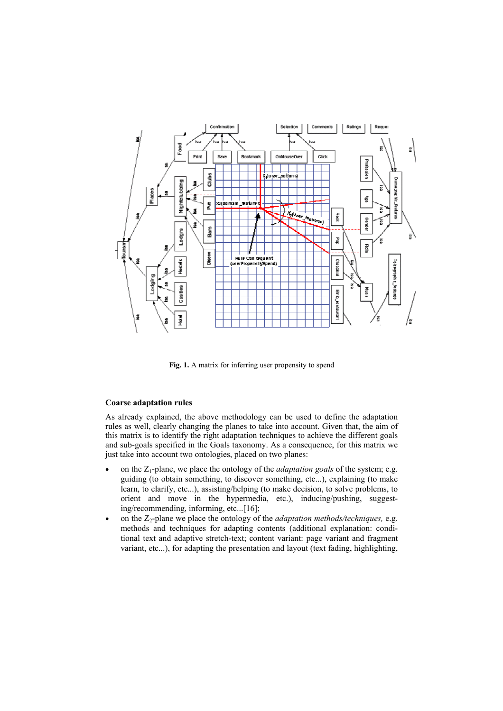

**Fig. 1.** A matrix for inferring user propensity to spend

#### **Coarse adaptation rules**

As already explained, the above methodology can be used to define the adaptation rules as well, clearly changing the planes to take into account. Given that, the aim of this matrix is to identify the right adaptation techniques to achieve the different goals and sub-goals specified in the Goals taxonomy. As a consequence, for this matrix we just take into account two ontologies, placed on two planes:

- on the Z1-plane, we place the ontology of the *adaptation goals* of the system; e.g. guiding (to obtain something, to discover something, etc...), explaining (to make learn, to clarify, etc...), assisting/helping (to make decision, to solve problems, to orient and move in the hypermedia, etc.), inducing/pushing, suggesting/recommending, informing, etc...[16];
- on the Z2-plane we place the ontology of the *adaptation methods/techniques,* e.g. methods and techniques for adapting contents (additional explanation: conditional text and adaptive stretch-text; content variant: page variant and fragment variant, etc...), for adapting the presentation and layout (text fading, highlighting,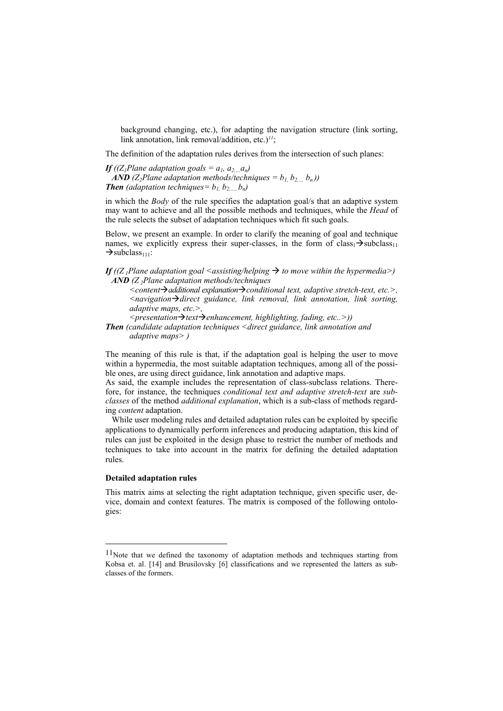background changing, etc.), for adapting the navigation structure (link sorting, link annotation, link removal/addition, etc.)*11*;

The definition of the adaptation rules derives from the intersection of such planes:

*If* ((Z<sub>1</sub>Plane adaptation goals =  $a_1$ ,  $a_2$ ,  $a_n$ ) *AND* ( $Z_2$ Plane adaptation methods/techniques =  $b_1$ ,  $b_2$ ,  $(b_n)$ ) *Then* (adaptation techniques=  $b_1$ ,  $b_2$ ,  $b_n$ )

in which the *Body* of the rule specifies the adaptation goal/s that an adaptive system may want to achieve and all the possible methods and techniques, while the *Head* of the rule selects the subset of adaptation techniques which fit such goals.

Below, we present an example. In order to clarify the meaning of goal and technique names, we explicitly express their super-classes, in the form of class<sub>1</sub> $\rightarrow$ subclass<sub>11</sub>  $\rightarrow$ subclass<sub>111</sub>:

#### *If* ((Z<sub>1</sub>Plane adaptation goal <assisting/helping  $\rightarrow$  to move within the hypermedia>) *AND* (*Z*<sub>2</sub>*Plane adaptation methods/techniques*

*<content*Æ*additional explanation*Æ*conditional text, adaptive stretch-text, etc.>, <navigation*Æ*direct guidance, link removal, link annotation, link sorting, adaptive maps, etc.>,* 

 $\leq$ *presentation*→*text→ enhancement, highlighting, fading, etc..>*))

*Then (candidate adaptation techniques <direct guidance, link annotation and adaptive maps> )* 

The meaning of this rule is that, if the adaptation goal is helping the user to move within a hypermedia, the most suitable adaptation techniques, among all of the possible ones, are using direct guidance, link annotation and adaptive maps.

As said, the example includes the representation of class-subclass relations. Therefore, for instance, the techniques *conditional text and adaptive stretch-text* are *subclasses* of the method *additional explanation*, which is a sub-class of methods regarding *content* adaptation.

 While user modeling rules and detailed adaptation rules can be exploited by specific applications to dynamically perform inferences and producing adaptation, this kind of rules can just be exploited in the design phase to restrict the number of methods and techniques to take into account in the matrix for defining the detailed adaptation rules.

#### **Detailed adaptation rules**

l

This matrix aims at selecting the right adaptation technique, given specific user, device, domain and context features. The matrix is composed of the following ontologies:

<sup>&</sup>lt;sup>11</sup>Note that we defined the taxonomy of adaptation methods and techniques starting from Kobsa et. al. [14] and Brusilovsky [6] classifications and we represented the latters as subclasses of the formers.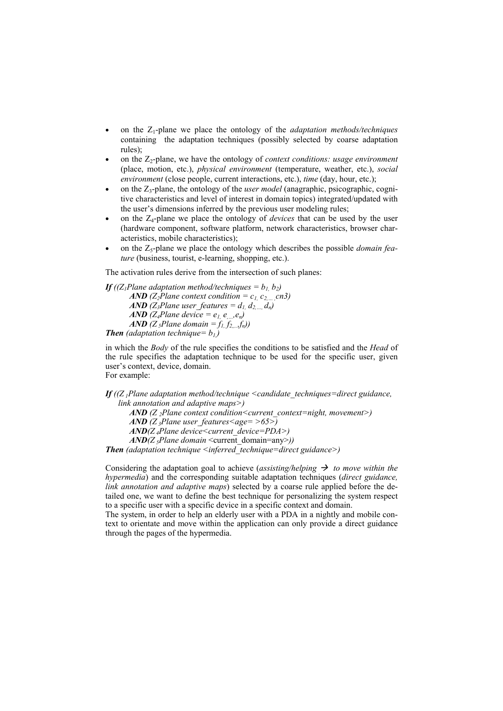- on the Z1-plane we place the ontology of the *adaptation methods/techniques* containing the adaptation techniques (possibly selected by coarse adaptation rules);
- on the Z2-plane, we have the ontology of *context conditions: usage environment*  (place, motion, etc.), *physical environment* (temperature, weather, etc.), *social environment* (close people, current interactions, etc.), *time* (day, hour, etc.);
- on the Z3-plane, the ontology of the *user model* (anagraphic, psicographic, cognitive characteristics and level of interest in domain topics) integrated/updated with the user's dimensions inferred by the previous user modeling rules;
- on the  $Z_4$ -plane we place the ontology of *devices* that can be used by the user (hardware component, software platform, network characteristics, browser characteristics, mobile characteristics);
- on the Z<sub>5</sub>-plane we place the ontology which describes the possible *domain feature* (business, tourist, e-learning, shopping, etc.).

The activation rules derive from the intersection of such planes:

*If* ((*Z<sub>1</sub>Plane adaptation method/techniques =*  $b_1$ *, b<sub>2</sub>) AND* (*Z*<sub>2</sub>*Plane context condition =*  $c_1$ *,*  $c_2$ *, cn3) AND* (Z<sub>3</sub>Plane user features =  $d_1$ ,  $d_2$ ,  $d_n$ ) *AND* (*Z<sub>4</sub>Plane device* =  $e_1$  *e*, *e<sub>n</sub>*) *AND*  $(Z_5$ *Plane domain* =  $f_1, f_2, \ldots, f_n)$ *Then* (adaptation technique=  $b_l$ )

in which the *Body* of the rule specifies the conditions to be satisfied and the *Head* of

the rule specifies the adaptation technique to be used for the specific user, given user's context, device, domain. For example:

*If ((Z 1Plane adaptation method/technique <candidate\_techniques=direct guidance, link annotation and adaptive maps>)* 

*AND* (*Z*<sub>2</sub>*Plane context condition<current\_context=night, movement>)* 

*AND* (*Z*<sub>3</sub>*Plane user\_features* <age= >65>)

*AND*(*Z*<sub>4</sub>*Plane device<current\_device=PDA>)* 

*AND*(*Z*<sub>5</sub>*Plane domain* <current\_domain=any>)) *Then (adaptation technique <inferred\_technique=direct guidance>)* 

Considering the adaptation goal to achieve (*assisting/helping*  $\rightarrow$  *to move within the hypermedia*) and the corresponding suitable adaptation techniques (*direct guidance, link annotation and adaptive maps*) selected by a coarse rule applied before the detailed one, we want to define the best technique for personalizing the system respect to a specific user with a specific device in a specific context and domain.

The system, in order to help an elderly user with a PDA in a nightly and mobile context to orientate and move within the application can only provide a direct guidance through the pages of the hypermedia.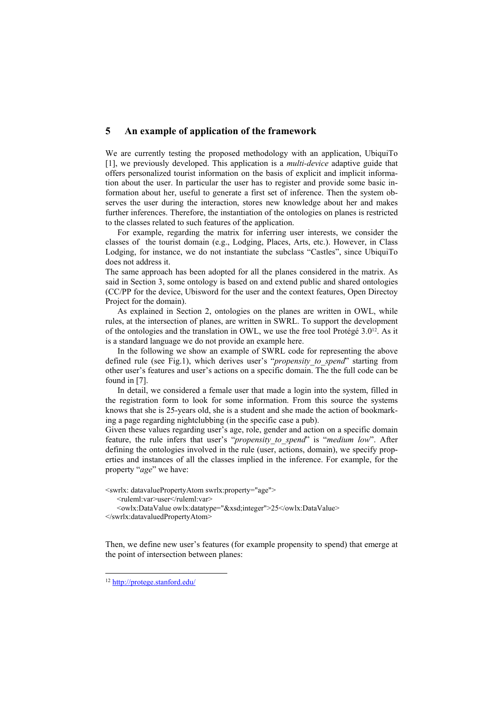### **5 An example of application of the framework**

We are currently testing the proposed methodology with an application, UbiquiTo [1], we previously developed. This application is a *multi-device* adaptive guide that offers personalized tourist information on the basis of explicit and implicit information about the user. In particular the user has to register and provide some basic information about her, useful to generate a first set of inference. Then the system observes the user during the interaction, stores new knowledge about her and makes further inferences. Therefore, the instantiation of the ontologies on planes is restricted to the classes related to such features of the application.

For example, regarding the matrix for inferring user interests, we consider the classes of the tourist domain (e.g., Lodging, Places, Arts, etc.). However, in Class Lodging, for instance, we do not instantiate the subclass "Castles", since UbiquiTo does not address it.

The same approach has been adopted for all the planes considered in the matrix. As said in Section 3, some ontology is based on and extend public and shared ontologies (CC/PP for the device, Ubisword for the user and the context features, Open Directoy Project for the domain).

As explained in Section 2, ontologies on the planes are written in OWL, while rules, at the intersection of planes, are written in SWRL. To support the development of the ontologies and the translation in OWL, we use the free tool Protégé  $3.0^{12}$ . As it is a standard language we do not provide an example here.

In the following we show an example of SWRL code for representing the above defined rule (see Fig.1), which derives user's "*propensity to spend*" starting from other user's features and user's actions on a specific domain. The the full code can be found in [7].

In detail, we considered a female user that made a login into the system, filled in the registration form to look for some information. From this source the systems knows that she is 25-years old, she is a student and she made the action of bookmarking a page regarding nightclubbing (in the specific case a pub).

Given these values regarding user's age, role, gender and action on a specific domain feature, the rule infers that user's "*propensity to spend*" is "*medium low*". After defining the ontologies involved in the rule (user, actions, domain), we specify properties and instances of all the classes implied in the inference. For example, for the property "*age*" we have:

<swrlx: datavaluePropertyAtom swrlx:property="age">

<ruleml:var>user</ruleml:var>

 <owlx:DataValue owlx:datatype="&xsd;integer">25</owlx:DataValue> </swrlx:datavaluedPropertyAtom>

Then, we define new user's features (for example propensity to spend) that emerge at the point of intersection between planes:

<sup>12</sup> http://protege.stanford.edu/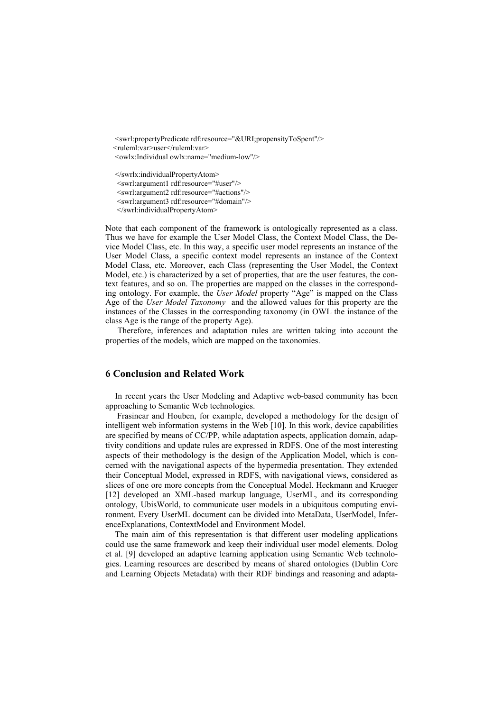<swrl:propertyPredicate rdf:resource="&URI;propensityToSpent"/> <ruleml:var>user</ruleml:var> <owlx:Individual owlx:name="medium-low"/>

</swrlx:individualPropertyAtom> <swrl:argument1 rdf:resource="#user"/> <swrl:argument2 rdf:resource="#actions"/> <swrl:argument3 rdf:resource="#domain"/> </swrl:individualPropertyAtom>

Note that each component of the framework is ontologically represented as a class. Thus we have for example the User Model Class, the Context Model Class, the Device Model Class, etc. In this way, a specific user model represents an instance of the User Model Class, a specific context model represents an instance of the Context Model Class, etc. Moreover, each Class (representing the User Model, the Context Model, etc.) is characterized by a set of properties, that are the user features, the context features, and so on. The properties are mapped on the classes in the corresponding ontology. For example, the *User Model* property "Age" is mapped on the Class Age of the *User Model Taxonomy* and the allowed values for this property are the instances of the Classes in the corresponding taxonomy (in OWL the instance of the class Age is the range of the property Age).

Therefore, inferences and adaptation rules are written taking into account the properties of the models, which are mapped on the taxonomies.

# **6 Conclusion and Related Work**

In recent years the User Modeling and Adaptive web-based community has been approaching to Semantic Web technologies.

 Frasincar and Houben, for example, developed a methodology for the design of intelligent web information systems in the Web [10]. In this work, device capabilities are specified by means of CC/PP, while adaptation aspects, application domain, adaptivity conditions and update rules are expressed in RDFS. One of the most interesting aspects of their methodology is the design of the Application Model, which is concerned with the navigational aspects of the hypermedia presentation. They extended their Conceptual Model, expressed in RDFS, with navigational views, considered as slices of one ore more concepts from the Conceptual Model. Heckmann and Krueger [12] developed an XML-based markup language, UserML, and its corresponding ontology, UbisWorld, to communicate user models in a ubiquitous computing environment. Every UserML document can be divided into MetaData, UserModel, InferenceExplanations, ContextModel and Environment Model.

The main aim of this representation is that different user modeling applications could use the same framework and keep their individual user model elements. Dolog et al. [9] developed an adaptive learning application using Semantic Web technologies. Learning resources are described by means of shared ontologies (Dublin Core and Learning Objects Metadata) with their RDF bindings and reasoning and adapta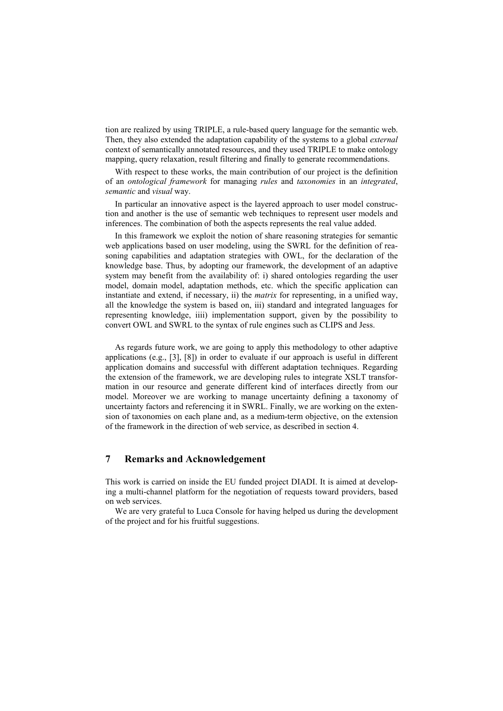tion are realized by using TRIPLE, a rule-based query language for the semantic web. Then, they also extended the adaptation capability of the systems to a global *external*  context of semantically annotated resources, and they used TRIPLE to make ontology mapping, query relaxation, result filtering and finally to generate recommendations.

With respect to these works, the main contribution of our project is the definition of an *ontological framework* for managing *rules* and *taxonomies* in an *integrated*, *semantic* and *visual* way.

In particular an innovative aspect is the layered approach to user model construction and another is the use of semantic web techniques to represent user models and inferences. The combination of both the aspects represents the real value added.

In this framework we exploit the notion of share reasoning strategies for semantic web applications based on user modeling, using the SWRL for the definition of reasoning capabilities and adaptation strategies with OWL, for the declaration of the knowledge base. Thus, by adopting our framework, the development of an adaptive system may benefit from the availability of: i) shared ontologies regarding the user model, domain model, adaptation methods, etc. which the specific application can instantiate and extend, if necessary, ii) the *matrix* for representing, in a unified way, all the knowledge the system is based on, iii) standard and integrated languages for representing knowledge, iiii) implementation support, given by the possibility to convert OWL and SWRL to the syntax of rule engines such as CLIPS and Jess.

As regards future work, we are going to apply this methodology to other adaptive applications (e.g., [3], [8]) in order to evaluate if our approach is useful in different application domains and successful with different adaptation techniques. Regarding the extension of the framework, we are developing rules to integrate XSLT transformation in our resource and generate different kind of interfaces directly from our model. Moreover we are working to manage uncertainty defining a taxonomy of uncertainty factors and referencing it in SWRL. Finally, we are working on the extension of taxonomies on each plane and, as a medium-term objective, on the extension of the framework in the direction of web service, as described in section 4.

# **7 Remarks and Acknowledgement**

This work is carried on inside the EU funded project DIADI. It is aimed at developing a multi-channel platform for the negotiation of requests toward providers, based on web services.

We are very grateful to Luca Console for having helped us during the development of the project and for his fruitful suggestions.